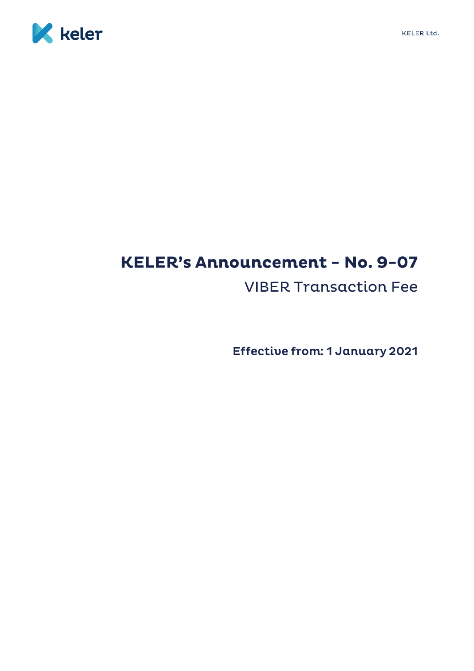



## **KELER's Announcement - No. 9-07 VIBER Transaction Fee**

**Effective from: 1 January 2021**